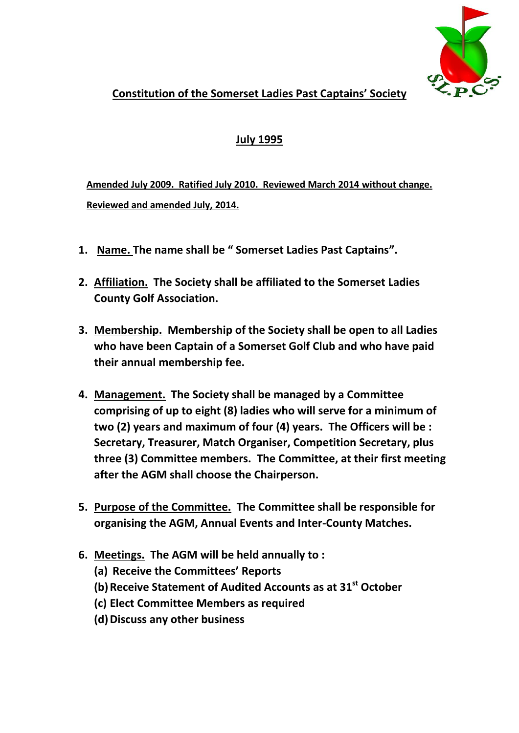

## **Constitution of the Somerset Ladies Past Captains' Society**

## **July 1995**

**Amended July 2009. Ratified July 2010. Reviewed March 2014 without change. Reviewed and amended July, 2014.**

- **1. Name. The name shall be " Somerset Ladies Past Captains".**
- **2. Affiliation. The Society shall be affiliated to the Somerset Ladies County Golf Association.**
- **3. Membership. Membership of the Society shall be open to all Ladies who have been Captain of a Somerset Golf Club and who have paid their annual membership fee.**
- **4. Management. The Society shall be managed by a Committee comprising of up to eight (8) ladies who will serve for a minimum of two (2) years and maximum of four (4) years. The Officers will be : Secretary, Treasurer, Match Organiser, Competition Secretary, plus three (3) Committee members. The Committee, at their first meeting after the AGM shall choose the Chairperson.**
- **5. Purpose of the Committee. The Committee shall be responsible for organising the AGM, Annual Events and Inter-County Matches.**
- **6. Meetings. The AGM will be held annually to :**
	- **(a) Receive the Committees' Reports**
	- **(b)Receive Statement of Audited Accounts as at 31st October**
	- **(c) Elect Committee Members as required**
	- **(d)Discuss any other business**